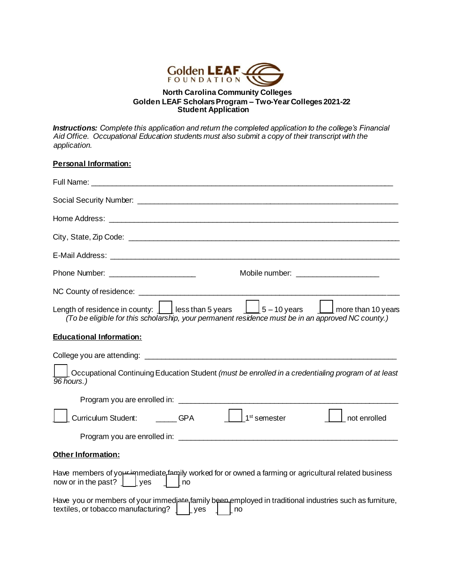

## **North Carolina Community Colleges Golden LEAF Scholars Program – Two-Year Colleges 2021-22 Student Application**

*Instructions: Complete this application and return the completed application to the college's Financial Aid Office. Occupational Education students must also submit a copy of their transcript with the application.*

## **Personal Information:**

| Phone Number: _________________________                                                                                                                                                                                                                                             |
|-------------------------------------------------------------------------------------------------------------------------------------------------------------------------------------------------------------------------------------------------------------------------------------|
|                                                                                                                                                                                                                                                                                     |
| Length of residence in county: $\boxed{\phantom{a}}$ less than 5 years $\phantom{a}$ $\boxed{\phantom{a}}$ 5 – 10 years $\phantom{a}$ $\boxed{\phantom{a}}$ more than 10 years<br>(To be eligible for this scholarship, your permanent residence must be in an approved NC county.) |
| <b>Educational Information:</b>                                                                                                                                                                                                                                                     |
| Occupational Continuing Education Student (must be enrolled in a credentialing program of at least<br>96 hours.)                                                                                                                                                                    |
|                                                                                                                                                                                                                                                                                     |
| $\vert$   1 <sup>st</sup> semester<br>Curriculum Student: GPA<br>not enrolled                                                                                                                                                                                                       |
|                                                                                                                                                                                                                                                                                     |
| Other Information:                                                                                                                                                                                                                                                                  |
| Have members of you immediate family worked for or owned a farming or agricultural related business<br>now or in the past? $\int$ [yes $\int$ [no                                                                                                                                   |
| Have you or members of your immediate family been employed in traditional industries such as furniture,<br>textiles, or tobacco manufacturing?   Lyes<br>no                                                                                                                         |